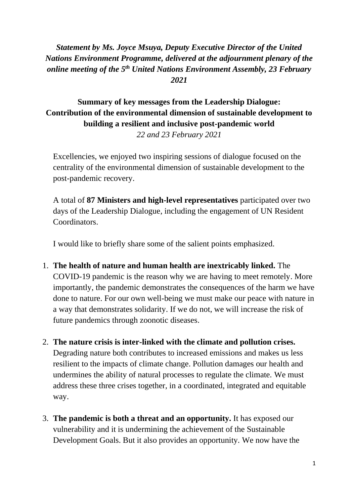## *Statement by Ms. Joyce Msuya, Deputy Executive Director of the United Nations Environment Programme, delivered at the adjournment plenary of the online meeting of the 5 th United Nations Environment Assembly, 23 February 2021*

## **Summary of key messages from the Leadership Dialogue: Contribution of the environmental dimension of sustainable development to building a resilient and inclusive post-pandemic world** *22 and 23 February 2021*

Excellencies, we enjoyed two inspiring sessions of dialogue focused on the centrality of the environmental dimension of sustainable development to the post-pandemic recovery.

A total of **87 Ministers and high-level representatives** participated over two days of the Leadership Dialogue, including the engagement of UN Resident Coordinators.

I would like to briefly share some of the salient points emphasized.

- 1. **The health of nature and human health are inextricably linked.** The COVID-19 pandemic is the reason why we are having to meet remotely. More importantly, the pandemic demonstrates the consequences of the harm we have done to nature. For our own well-being we must make our peace with nature in a way that demonstrates solidarity. If we do not, we will increase the risk of future pandemics through zoonotic diseases.
- 2. **The nature crisis is inter-linked with the climate and pollution crises.** Degrading nature both contributes to increased emissions and makes us less resilient to the impacts of climate change. Pollution damages our health and undermines the ability of natural processes to regulate the climate. We must address these three crises together, in a coordinated, integrated and equitable way.
- 3. **The pandemic is both a threat and an opportunity.** It has exposed our vulnerability and it is undermining the achievement of the Sustainable Development Goals. But it also provides an opportunity. We now have the